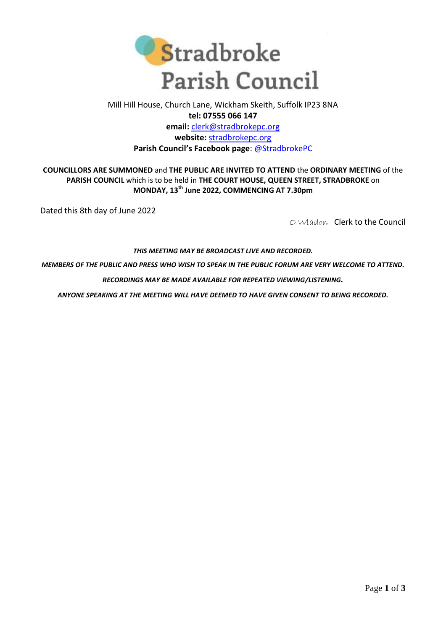

## Mill Hill House, Church Lane, Wickham Skeith, Suffolk IP23 8NA **tel: 07555 066 147 email:** [clerk@stradbrokepc.org](mailto:clerk@stradbrokepc.org) **website:** [stradbrokepc.org](http://www.stradbrokepc.org/) **Parish Council's Facebook page**: [@StradbrokePC](https://www.facebook.com/StradbrokePC)

**COUNCILLORS ARE SUMMONED** and **THE PUBLIC ARE INVITED TO ATTEND** the **ORDINARY MEETING** of the **PARISH COUNCIL** which is to be held in **THE COURT HOUSE, QUEEN STREET, STRADBROKE** on **MONDAY, 13th June 2022, COMMENCING AT 7.30pm**

Dated this 8th day of June 2022

O Wladon Clerk to the Council

## *THIS MEETING MAY BE BROADCAST LIVE AND RECORDED.*

*MEMBERS OF THE PUBLIC AND PRESS WHO WISH TO SPEAK IN THE PUBLIC FORUM ARE VERY WELCOME TO ATTEND.*

*RECORDINGS MAY BE MADE AVAILABLE FOR REPEATED VIEWING/LISTENING.*

*ANYONE SPEAKING AT THE MEETING WILL HAVE DEEMED TO HAVE GIVEN CONSENT TO BEING RECORDED.*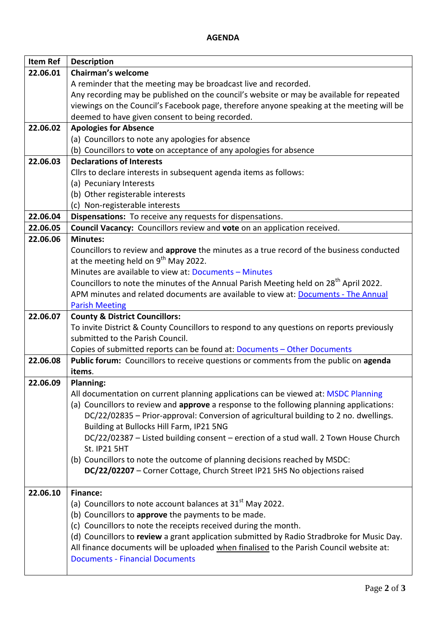## **AGENDA**

| <b>Item Ref</b> | <b>Description</b>                                                                                                                                      |
|-----------------|---------------------------------------------------------------------------------------------------------------------------------------------------------|
| 22.06.01        | <b>Chairman's welcome</b>                                                                                                                               |
|                 | A reminder that the meeting may be broadcast live and recorded.                                                                                         |
|                 | Any recording may be published on the council's website or may be available for repeated                                                                |
|                 | viewings on the Council's Facebook page, therefore anyone speaking at the meeting will be                                                               |
|                 | deemed to have given consent to being recorded.                                                                                                         |
| 22.06.02        | <b>Apologies for Absence</b>                                                                                                                            |
|                 | (a) Councillors to note any apologies for absence                                                                                                       |
|                 | (b) Councillors to vote on acceptance of any apologies for absence                                                                                      |
| 22.06.03        | <b>Declarations of Interests</b>                                                                                                                        |
|                 | Cllrs to declare interests in subsequent agenda items as follows:                                                                                       |
|                 | (a) Pecuniary Interests                                                                                                                                 |
|                 | (b) Other registerable interests                                                                                                                        |
|                 | (c) Non-registerable interests                                                                                                                          |
| 22.06.04        | Dispensations: To receive any requests for dispensations.                                                                                               |
| 22.06.05        | Council Vacancy: Councillors review and vote on an application received.                                                                                |
| 22.06.06        | <b>Minutes:</b>                                                                                                                                         |
|                 | Councillors to review and approve the minutes as a true record of the business conducted                                                                |
|                 | at the meeting held on $9^{th}$ May 2022.                                                                                                               |
|                 | Minutes are available to view at: Documents - Minutes                                                                                                   |
|                 | Councillors to note the minutes of the Annual Parish Meeting held on 28 <sup>th</sup> April 2022.                                                       |
|                 | APM minutes and related documents are available to view at: Documents - The Annual                                                                      |
|                 | <b>Parish Meeting</b>                                                                                                                                   |
| 22.06.07        | <b>County &amp; District Councillors:</b>                                                                                                               |
|                 | To invite District & County Councillors to respond to any questions on reports previously                                                               |
|                 | submitted to the Parish Council.                                                                                                                        |
|                 | Copies of submitted reports can be found at: Documents - Other Documents                                                                                |
| 22.06.08        | Public forum: Councillors to receive questions or comments from the public on agenda                                                                    |
|                 | items.                                                                                                                                                  |
| 22.06.09        | <b>Planning:</b>                                                                                                                                        |
|                 | All documentation on current planning applications can be viewed at: MSDC Planning                                                                      |
|                 | (a) Councillors to review and approve a response to the following planning applications:                                                                |
|                 | DC/22/02835 - Prior-approval: Conversion of agricultural building to 2 no. dwellings.                                                                   |
|                 | Building at Bullocks Hill Farm, IP21 5NG                                                                                                                |
|                 | DC/22/02387 - Listed building consent - erection of a stud wall. 2 Town House Church                                                                    |
|                 | <b>St. IP21 5HT</b>                                                                                                                                     |
|                 | (b) Councillors to note the outcome of planning decisions reached by MSDC:<br>DC/22/02207 - Corner Cottage, Church Street IP21 5HS No objections raised |
|                 |                                                                                                                                                         |
| 22.06.10        | <b>Finance:</b>                                                                                                                                         |
|                 | (a) Councillors to note account balances at $31st$ May 2022.                                                                                            |
|                 | (b) Councillors to approve the payments to be made.                                                                                                     |
|                 | (c) Councillors to note the receipts received during the month.                                                                                         |
|                 | (d) Councillors to review a grant application submitted by Radio Stradbroke for Music Day.                                                              |
|                 | All finance documents will be uploaded when finalised to the Parish Council website at:                                                                 |
|                 | <b>Documents - Financial Documents</b>                                                                                                                  |
|                 |                                                                                                                                                         |